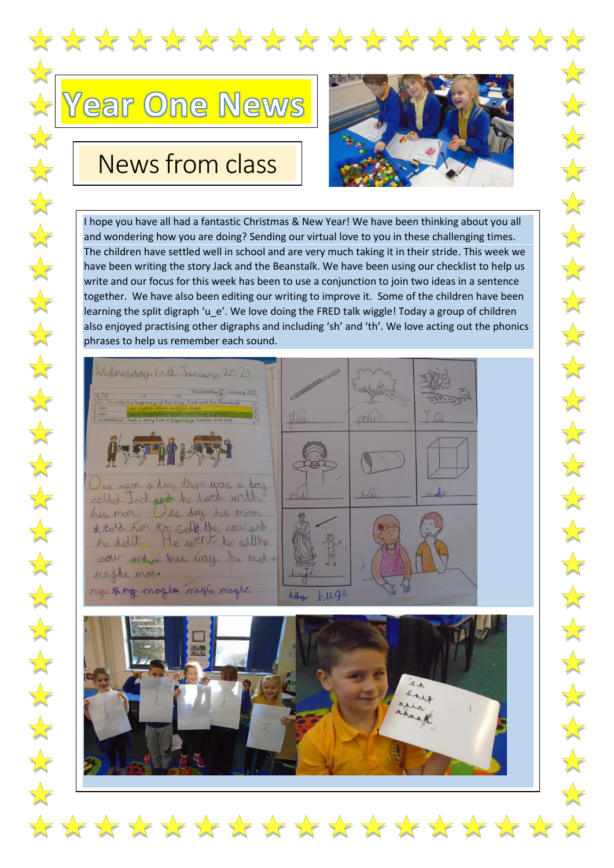



## News from class



 $\sum$ 

I hope you have all had a fantastic Christmas & New Year! We have been thinking about you all and wondering how you are doing? Sending our virtual love to you in these challenging times. The children have settled well in school and are very much taking it in their stride. This week we have been writing the story Jack and the Beanstalk. We have been using our checklist to help us write and our focus for this week has been to use a conjunction to join two ideas in a sentence together. We have also been editing our writing to improve it. Some of the children have been learning the split digraph 'u\_e'. We love doing the FRED talk wiggle! Today a group of children also enjoyed practising other digraphs and including 'sh' and 'th'. We love acting out the phonics phrases to help us remember each sound.





\*\*\*\*\*\*\*\*\*\*\*\*\*\*\*